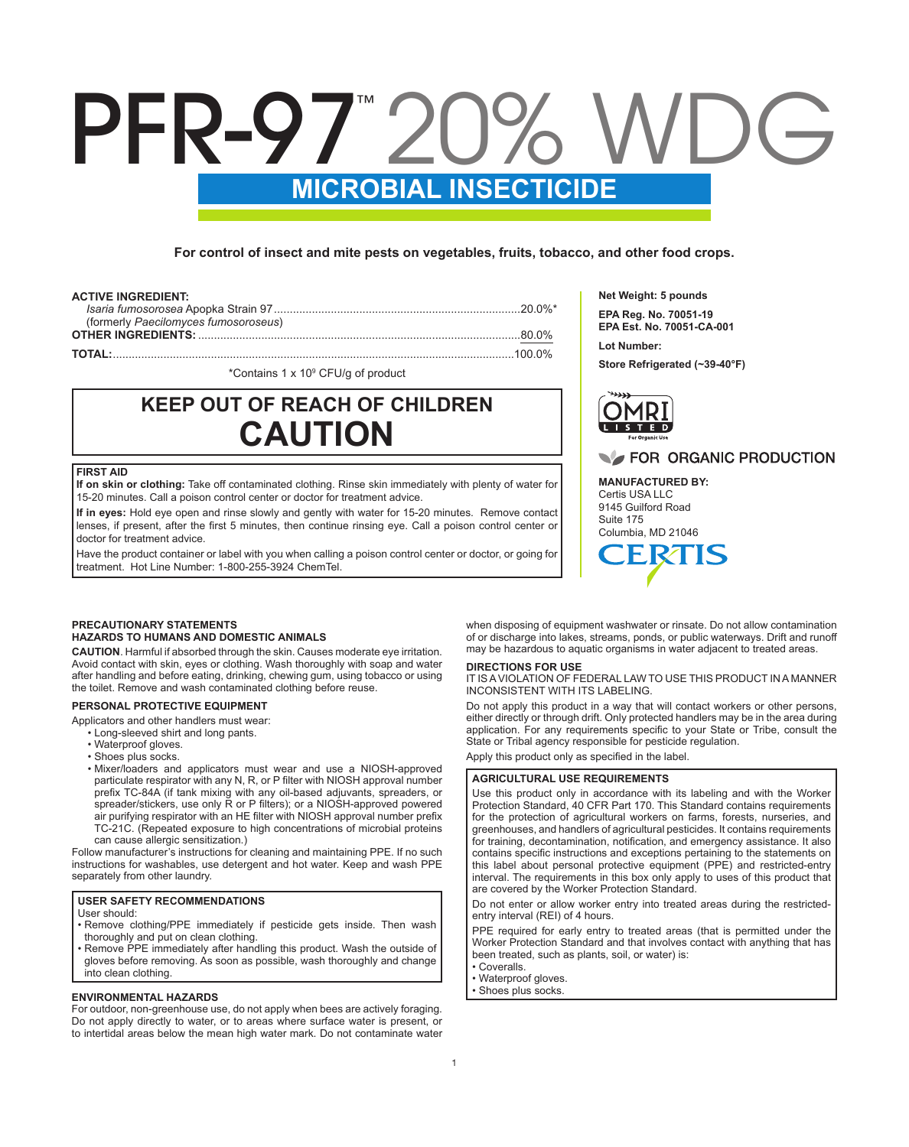# **MICROBIAL INSECTICIDE** PFR-97" 20%

**For control of insect and mite pests on vegetables, fruits, tobacco, and other food crops.**

#### **ACTIVE INGREDIENT:**

| (formerly Paecilomyces fumosoroseus) |  |
|--------------------------------------|--|
|                                      |  |
|                                      |  |
|                                      |  |

\*Contains 1 x 10<sup>9</sup> CFU/g of product

## **KEEP OUT OF REACH OF CHILDREN CAUTION**

#### **FIRST AID**

**If on skin or clothing:** Take off contaminated clothing. Rinse skin immediately with plenty of water for 15-20 minutes. Call a poison control center or doctor for treatment advice.

**If in eyes:** Hold eye open and rinse slowly and gently with water for 15-20 minutes. Remove contact lenses, if present, after the first 5 minutes, then continue rinsing eye. Call a poison control center or doctor for treatment advice.

Have the product container or label with you when calling a poison control center or doctor, or going for treatment. Hot Line Number: 1-800-255-3924 ChemTel.

#### **PRECAUTIONARY STATEMENTS HAZARDS TO HUMANS AND DOMESTIC ANIMALS**

**CAUTION**. Harmful if absorbed through the skin. Causes moderate eye irritation. Avoid contact with skin, eyes or clothing. Wash thoroughly with soap and water after handling and before eating, drinking, chewing gum, using tobacco or using the toilet. Remove and wash contaminated clothing before reuse.

#### **PERSONAL PROTECTIVE EQUIPMENT**

Applicators and other handlers must wear:

- Long-sleeved shirt and long pants.
- Waterproof gloves.
- Shoes plus socks.
- Mixer/loaders and applicators must wear and use a NIOSH-approved particulate respirator with any N, R, or P filter with NIOSH approval number prefix TC-84A (if tank mixing with any oil-based adjuvants, spreaders, or spreader/stickers, use only R or P filters); or a NIOSH-approved powered air purifying respirator with an HE filter with NIOSH approval number prefix TC-21C. (Repeated exposure to high concentrations of microbial proteins can cause allergic sensitization.)

Follow manufacturer's instructions for cleaning and maintaining PPE. If no such instructions for washables, use detergent and hot water. Keep and wash PPE separately from other laundry.

#### **USER SAFETY RECOMMENDATIONS**

#### User should:

- Remove clothing/PPE immediately if pesticide gets inside. Then wash thoroughly and put on clean clothing.
- Remove PPE immediately after handling this product. Wash the outside of gloves before removing. As soon as possible, wash thoroughly and change into clean clothing.

#### **ENVIRONMENTAL HAZARDS**

For outdoor, non-greenhouse use, do not apply when bees are actively foraging. Do not apply directly to water, or to areas where surface water is present, or to intertidal areas below the mean high water mark. Do not contaminate water **Net Weight: 5 pounds EPA Reg. No. 70051-19 EPA Est. No. 70051-CA-001**

**Lot Number:** 

**Store Refrigerated (~39-40°F)**



#### **THE FOR ORGANIC PRODUCTION**

**MANUFACTURED BY:** Certis USA LLC 9145 Guilford Road Suite 175 Columbia, MD 21046

when disposing of equipment washwater or rinsate. Do not allow contamination of or discharge into lakes, streams, ponds, or public waterways. Drift and runoff may be hazardous to aquatic organisms in water adjacent to treated areas.

#### **DIRECTIONS FOR USE**

IT IS A VIOLATION OF FEDERAL LAW TO USE THIS PRODUCT IN A MANNER INCONSISTENT WITH ITS LABELING.

Do not apply this product in a way that will contact workers or other persons, either directly or through drift. Only protected handlers may be in the area during application. For any requirements specific to your State or Tribe, consult the State or Tribal agency responsible for pesticide regulation.

Apply this product only as specified in the label.

#### **AGRICULTURAL USE REQUIREMENTS**

Use this product only in accordance with its labeling and with the Worker Protection Standard, 40 CFR Part 170. This Standard contains requirements for the protection of agricultural workers on farms, forests, nurseries, and greenhouses, and handlers of agricultural pesticides. It contains requirements for training, decontamination, notification, and emergency assistance. It also contains specific instructions and exceptions pertaining to the statements on this label about personal protective equipment (PPE) and restricted-entry interval. The requirements in this box only apply to uses of this product that are covered by the Worker Protection Standard.

Do not enter or allow worker entry into treated areas during the restrictedentry interval (REI) of 4 hours.

PPE required for early entry to treated areas (that is permitted under the Worker Protection Standard and that involves contact with anything that has been treated, such as plants, soil, or water) is:

- Coveralls.
- Waterproof gloves.
- Shoes plus socks.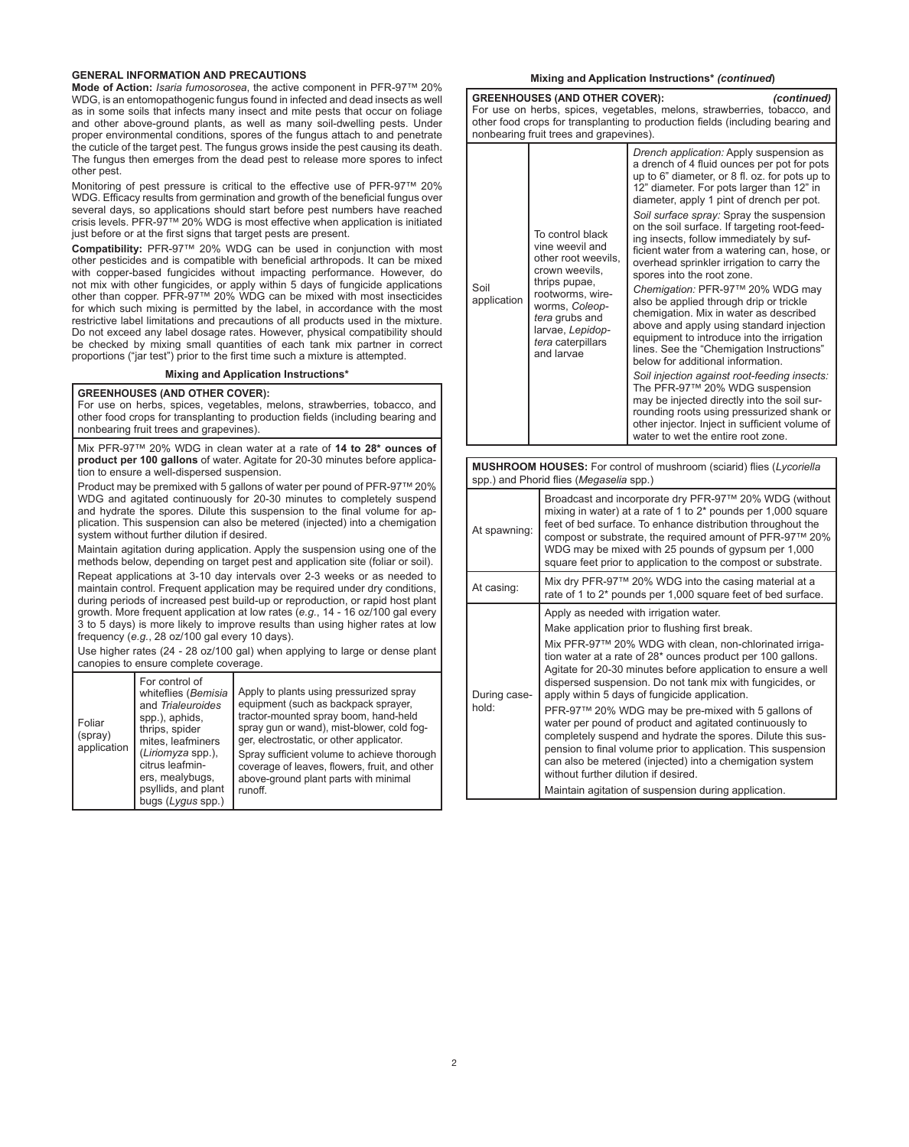#### **GENERAL INFORMATION AND PRECAUTIONS**

**Mode of Action:** *Isaria fumosorosea*, the active component in PFR-97™ 20% WDG, is an entomopathogenic fungus found in infected and dead insects as well as in some soils that infects many insect and mite pests that occur on foliage and other above-ground plants, as well as many soil-dwelling pests. Under proper environmental conditions, spores of the fungus attach to and penetrate the cuticle of the target pest. The fungus grows inside the pest causing its death. The fungus then emerges from the dead pest to release more spores to infect other pest.

Monitoring of pest pressure is critical to the effective use of PFR-97™ 20% WDG. Efficacy results from germination and growth of the beneficial fungus over several days, so applications should start before pest numbers have reached crisis levels. PFR-97™ 20% WDG is most effective when application is initiated just before or at the first signs that target pests are present.

**Compatibility:** PFR-97™ 20% WDG can be used in conjunction with most other pesticides and is compatible with beneficial arthropods. It can be mixed with copper-based fungicides without impacting performance. However, do not mix with other fungicides, or apply within 5 days of fungicide applications other than copper. PFR-97™ 20% WDG can be mixed with most insecticides for which such mixing is permitted by the label, in accordance with the most restrictive label limitations and precautions of all products used in the mixture. Do not exceed any label dosage rates. However, physical compatibility should be checked by mixing small quantities of each tank mix partner in correct proportions ("jar test") prior to the first time such a mixture is attempted.

#### **Mixing and Application Instructions\***

#### **GREENHOUSES (AND OTHER COVER):**

For use on herbs, spices, vegetables, melons, strawberries, tobacco, and other food crops for transplanting to production fields (including bearing and nonbearing fruit trees and grapevines).

Mix PFR-97™ 20% WDG in clean water at a rate of **14 to 28\* ounces of product per 100 gallons** of water. Agitate for 20-30 minutes before application to ensure a well-dispersed suspension.

Product may be premixed with 5 gallons of water per pound of PFR-97™ 20% WDG and agitated continuously for 20-30 minutes to completely suspend and hydrate the spores. Dilute this suspension to the final volume for application. This suspension can also be metered (injected) into a chemigation system without further dilution if desired.

Maintain agitation during application. Apply the suspension using one of the methods below, depending on target pest and application site (foliar or soil).

Repeat applications at 3-10 day intervals over 2-3 weeks or as needed to maintain control. Frequent application may be required under dry conditions, during periods of increased pest build-up or reproduction, or rapid host plant growth. More frequent application at low rates (*e.g.*, 14 - 16 oz/100 gal every 3 to 5 days) is more likely to improve results than using higher rates at low frequency (*e.g.*, 28 oz/100 gal every 10 days).

Use higher rates (24 - 28 oz/100 gal) when applying to large or dense plant canopies to ensure complete coverage.

| Foliar<br>(spray)<br>application | For control of<br>whiteflies (Bemisia<br>and Trialeuroides<br>spp.), aphids,<br>thrips, spider<br>mites, leafminers<br>(Liriomyza spp.),<br>citrus leafmin-<br>ers, mealybugs,<br>psyllids, and plant<br>bugs (Lygus spp.) | Apply to plants using pressurized spray<br>equipment (such as backpack sprayer,<br>tractor-mounted spray boom, hand-held<br>spray gun or wand), mist-blower, cold fog-<br>ger, electrostatic, or other applicator.<br>Spray sufficient volume to achieve thorough<br>coverage of leaves, flowers, fruit, and other<br>above-ground plant parts with minimal<br>runoff. |
|----------------------------------|----------------------------------------------------------------------------------------------------------------------------------------------------------------------------------------------------------------------------|------------------------------------------------------------------------------------------------------------------------------------------------------------------------------------------------------------------------------------------------------------------------------------------------------------------------------------------------------------------------|
|----------------------------------|----------------------------------------------------------------------------------------------------------------------------------------------------------------------------------------------------------------------------|------------------------------------------------------------------------------------------------------------------------------------------------------------------------------------------------------------------------------------------------------------------------------------------------------------------------------------------------------------------------|

#### **Mixing and Application Instructions\*** *(continued***)**

| <b>GREENHOUSES (AND OTHER COVER):</b><br>(continued)<br>For use on herbs, spices, vegetables, melons, strawberries, tobacco, and<br>other food crops for transplanting to production fields (including bearing and<br>nonbearing fruit trees and grapevines). |                                                                                                                                                                                                                                                                                                                                                                                                                                                                                                                                                                                                                                                                                                                                                                                                                 |                                                                                                                                                                                                                                                                                                                                                                                                                                                                                                                                                                                                                                                                                                                                                                                                                                                                                                                                                                                                                                                                                 |  |  |
|---------------------------------------------------------------------------------------------------------------------------------------------------------------------------------------------------------------------------------------------------------------|-----------------------------------------------------------------------------------------------------------------------------------------------------------------------------------------------------------------------------------------------------------------------------------------------------------------------------------------------------------------------------------------------------------------------------------------------------------------------------------------------------------------------------------------------------------------------------------------------------------------------------------------------------------------------------------------------------------------------------------------------------------------------------------------------------------------|---------------------------------------------------------------------------------------------------------------------------------------------------------------------------------------------------------------------------------------------------------------------------------------------------------------------------------------------------------------------------------------------------------------------------------------------------------------------------------------------------------------------------------------------------------------------------------------------------------------------------------------------------------------------------------------------------------------------------------------------------------------------------------------------------------------------------------------------------------------------------------------------------------------------------------------------------------------------------------------------------------------------------------------------------------------------------------|--|--|
| Soil<br>application                                                                                                                                                                                                                                           | To control black<br>vine weevil and<br>other root weevils.<br>crown weevils.<br>thrips pupae,<br>rootworms, wire-<br>worms, Coleop-<br>tera grubs and<br>larvae, Lepidop-<br>tera caterpillars<br>and larvae                                                                                                                                                                                                                                                                                                                                                                                                                                                                                                                                                                                                    | Drench application: Apply suspension as<br>a drench of 4 fluid ounces per pot for pots<br>up to 6" diameter, or 8 fl. oz. for pots up to<br>12" diameter. For pots larger than 12" in<br>diameter, apply 1 pint of drench per pot.<br>Soil surface spray: Spray the suspension<br>on the soil surface. If targeting root-feed-<br>ing insects, follow immediately by suf-<br>ficient water from a watering can, hose, or<br>overhead sprinkler irrigation to carry the<br>spores into the root zone.<br>Chemigation: PFR-97™ 20% WDG may<br>also be applied through drip or trickle<br>chemigation. Mix in water as described<br>above and apply using standard injection<br>equipment to introduce into the irrigation<br>lines. See the "Chemigation Instructions"<br>below for additional information.<br>Soil injection against root-feeding insects:<br>The PFR-97™ 20% WDG suspension<br>may be injected directly into the soil sur-<br>rounding roots using pressurized shank or<br>other injector. Inject in sufficient volume of<br>water to wet the entire root zone. |  |  |
| MUSHROOM HOUSES: For control of mushroom (sciarid) flies (Lycoriella<br>spp.) and Phorid flies (Megaselia spp.)                                                                                                                                               |                                                                                                                                                                                                                                                                                                                                                                                                                                                                                                                                                                                                                                                                                                                                                                                                                 |                                                                                                                                                                                                                                                                                                                                                                                                                                                                                                                                                                                                                                                                                                                                                                                                                                                                                                                                                                                                                                                                                 |  |  |
| At spawning:                                                                                                                                                                                                                                                  |                                                                                                                                                                                                                                                                                                                                                                                                                                                                                                                                                                                                                                                                                                                                                                                                                 | Broadcast and incorporate dry PFR-97™ 20% WDG (without<br>mixing in water) at a rate of 1 to 2* pounds per 1,000 square<br>feet of bed surface. To enhance distribution throughout the<br>compost or substrate, the required amount of PFR-97™ 20%<br>WDG may be mixed with 25 pounds of gypsum per 1,000<br>square feet prior to application to the compost or substrate.                                                                                                                                                                                                                                                                                                                                                                                                                                                                                                                                                                                                                                                                                                      |  |  |
| At casing:                                                                                                                                                                                                                                                    |                                                                                                                                                                                                                                                                                                                                                                                                                                                                                                                                                                                                                                                                                                                                                                                                                 | Mix dry PFR-97™ 20% WDG into the casing material at a<br>rate of 1 to 2* pounds per 1,000 square feet of bed surface.                                                                                                                                                                                                                                                                                                                                                                                                                                                                                                                                                                                                                                                                                                                                                                                                                                                                                                                                                           |  |  |
| During case-<br>hold:                                                                                                                                                                                                                                         | Apply as needed with irrigation water.<br>Make application prior to flushing first break.<br>Mix PFR-97™ 20% WDG with clean, non-chlorinated irriga-<br>tion water at a rate of 28* ounces product per 100 gallons.<br>Agitate for 20-30 minutes before application to ensure a well<br>dispersed suspension. Do not tank mix with fungicides, or<br>apply within 5 days of fungicide application.<br>PFR-97™ 20% WDG may be pre-mixed with 5 gallons of<br>water per pound of product and agitated continuously to<br>completely suspend and hydrate the spores. Dilute this sus-<br>pension to final volume prior to application. This suspension<br>can also be metered (injected) into a chemigation system<br>without further dilution if desired.<br>Maintain agitation of suspension during application. |                                                                                                                                                                                                                                                                                                                                                                                                                                                                                                                                                                                                                                                                                                                                                                                                                                                                                                                                                                                                                                                                                 |  |  |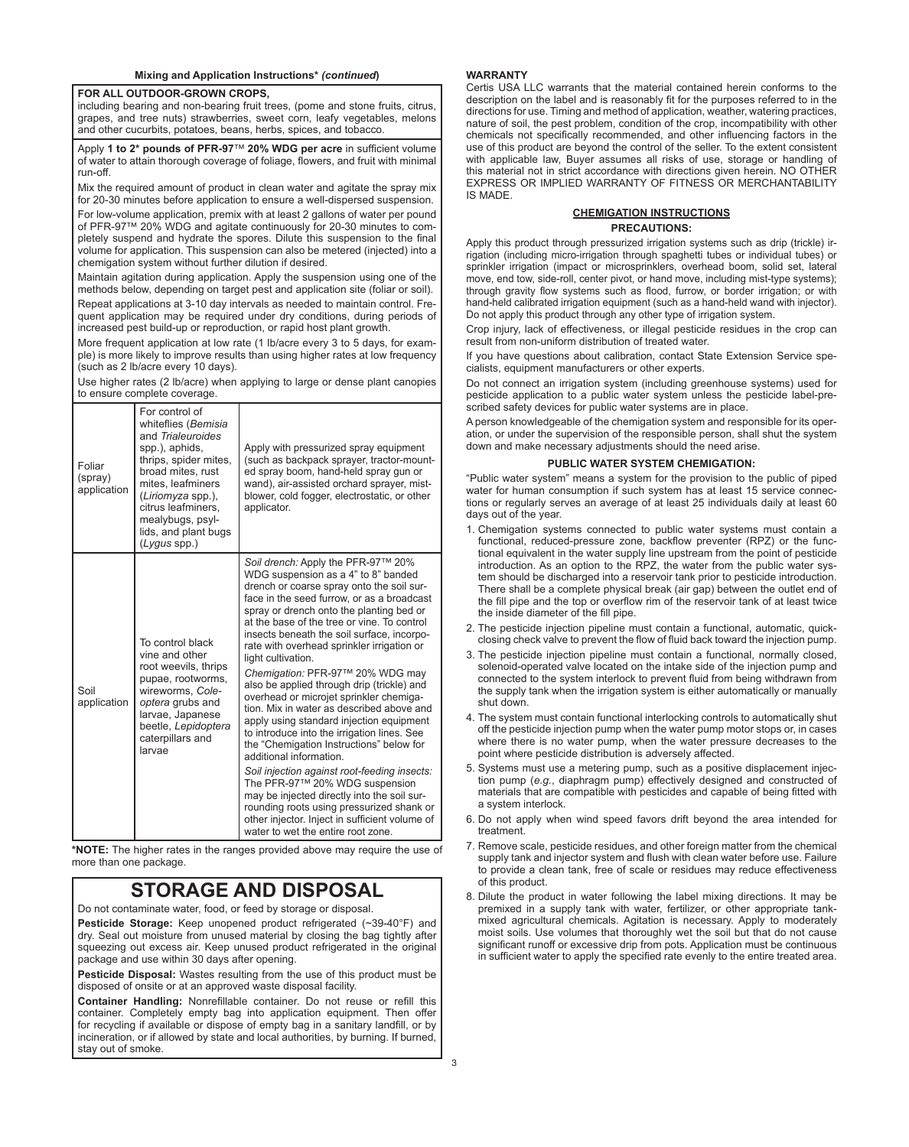#### **FOR ALL OUTDOOR-GROWN CROPS,**

including bearing and non-bearing fruit trees, (pome and stone fruits, citrus, grapes, and tree nuts) strawberries, sweet corn, leafy vegetables, melons and other cucurbits, potatoes, beans, herbs, spices, and tobacco.

Apply **1 to 2\* pounds of PFR-97**™ **20% WDG per acre** in sufficient volume of water to attain thorough coverage of foliage, flowers, and fruit with minimal run-off.

Mix the required amount of product in clean water and agitate the spray mix for 20-30 minutes before application to ensure a well-dispersed suspension.

For low-volume application, premix with at least 2 gallons of water per pound of PFR-97™ 20% WDG and agitate continuously for 20-30 minutes to completely suspend and hydrate the spores. Dilute this suspension to the final volume for application. This suspension can also be metered (injected) into a chemigation system without further dilution if desired.

Maintain agitation during application. Apply the suspension using one of the methods below, depending on target pest and application site (foliar or soil). Repeat applications at 3-10 day intervals as needed to maintain control. Frequent application may be required under dry conditions, during periods of increased pest build-up or reproduction, or rapid host plant growth.

More frequent application at low rate (1 lb/acre every 3 to 5 days, for example) is more likely to improve results than using higher rates at low frequency (such as 2 lb/acre every 10 days).

Use higher rates (2 lb/acre) when applying to large or dense plant canopies to ensure complete coverage.

| Foliar<br>(spray)<br>application | For control of<br>whiteflies (Bemisia<br>and Trialeuroides<br>spp.), aphids,<br>thrips, spider mites,<br>broad mites, rust<br>mites. leafminers<br>(Liriomyza spp.),<br>citrus leafminers,<br>mealybugs, psyl-<br>lids, and plant bugs<br>$(Lygus$ spp.) | Apply with pressurized spray equipment<br>(such as backpack sprayer, tractor-mount-<br>ed spray boom, hand-held spray gun or<br>wand), air-assisted orchard sprayer, mist-<br>blower, cold fogger, electrostatic, or other<br>applicator.                                                                                                                                                                                                                                                                                                                                                                                                                                                                                                                                                                                                                                                                                                                                                           |
|----------------------------------|----------------------------------------------------------------------------------------------------------------------------------------------------------------------------------------------------------------------------------------------------------|-----------------------------------------------------------------------------------------------------------------------------------------------------------------------------------------------------------------------------------------------------------------------------------------------------------------------------------------------------------------------------------------------------------------------------------------------------------------------------------------------------------------------------------------------------------------------------------------------------------------------------------------------------------------------------------------------------------------------------------------------------------------------------------------------------------------------------------------------------------------------------------------------------------------------------------------------------------------------------------------------------|
| Soil<br>application              | To control black<br>vine and other<br>root weevils, thrips<br>pupae, rootworms,<br>wireworms, Cole-<br>optera grubs and<br>larvae, Japanese<br>beetle, Lepidoptera<br>caterpillars and<br>larvae                                                         | Soil drench: Apply the PFR-97™ 20%<br>WDG suspension as a 4" to 8" banded<br>drench or coarse spray onto the soil sur-<br>face in the seed furrow, or as a broadcast<br>spray or drench onto the planting bed or<br>at the base of the tree or vine. To control<br>insects beneath the soil surface, incorpo-<br>rate with overhead sprinkler irrigation or<br>light cultivation.<br>Chemigation: PFR-97™ 20% WDG may<br>also be applied through drip (trickle) and<br>overhead or microjet sprinkler chemiga-<br>tion. Mix in water as described above and<br>apply using standard injection equipment<br>to introduce into the irrigation lines. See<br>the "Chemigation Instructions" below for<br>additional information.<br>Soil injection against root-feeding insects:<br>The PFR-97™ 20% WDG suspension<br>may be injected directly into the soil sur-<br>rounding roots using pressurized shank or<br>other injector. Inject in sufficient volume of<br>water to wet the entire root zone. |

**\*NOTE:** The higher rates in the ranges provided above may require the use of more than one package.

### **STORAGE AND DISPOSAL**

Do not contaminate water, food, or feed by storage or disposal.

**Pesticide Storage:** Keep unopened product refrigerated (~39-40°F) and dry. Seal out moisture from unused material by closing the bag tightly after squeezing out excess air. Keep unused product refrigerated in the original package and use within 30 days after opening.

**Pesticide Disposal:** Wastes resulting from the use of this product must be disposed of onsite or at an approved waste disposal facility.

**Container Handling:** Nonrefillable container. Do not reuse or refill this container. Completely empty bag into application equipment. Then offer for recycling if available or dispose of empty bag in a sanitary landfill, or by incineration, or if allowed by state and local authorities, by burning. If burned, stay out of smoke.

#### **WARRANTY**

Certis USA LLC warrants that the material contained herein conforms to the description on the label and is reasonably fit for the purposes referred to in the directions for use. Timing and method of application, weather, watering practices, nature of soil, the pest problem, condition of the crop, incompatibility with other chemicals not specifically recommended, and other influencing factors in the use of this product are beyond the control of the seller. To the extent consistent with applicable law, Buyer assumes all risks of use, storage or handling of this material not in strict accordance with directions given herein. NO OTHER EXPRESS OR IMPLIED WARRANTY OF FITNESS OR MERCHANTABILITY IS MADE.

#### **CHEMIGATION INSTRUCTIONS PRECAUTIONS:**

Apply this product through pressurized irrigation systems such as drip (trickle) irrigation (including micro-irrigation through spaghetti tubes or individual tubes) or sprinkler irrigation (impact or microsprinklers, overhead boom, solid set, lateral move, end tow, side-roll, center pivot, or hand move, including mist-type systems); through gravity flow systems such as flood, furrow, or border irrigation; or with hand-held calibrated irrigation equipment (such as a hand-held wand with injector). Do not apply this product through any other type of irrigation system.

Crop injury, lack of effectiveness, or illegal pesticide residues in the crop can result from non-uniform distribution of treated water.

If you have questions about calibration, contact State Extension Service specialists, equipment manufacturers or other experts.

Do not connect an irrigation system (including greenhouse systems) used for pesticide application to a public water system unless the pesticide label-prescribed safety devices for public water systems are in place.

A person knowledgeable of the chemigation system and responsible for its operation, or under the supervision of the responsible person, shall shut the system down and make necessary adjustments should the need arise.

#### **PUBLIC WATER SYSTEM CHEMIGATION:**

"Public water system" means a system for the provision to the public of piped water for human consumption if such system has at least 15 service connections or regularly serves an average of at least 25 individuals daily at least 60 days out of the year.

- 1. Chemigation systems connected to public water systems must contain a functional, reduced-pressure zone, backflow preventer (RPZ) or the functional equivalent in the water supply line upstream from the point of pesticide introduction. As an option to the RPZ, the water from the public water system should be discharged into a reservoir tank prior to pesticide introduction. There shall be a complete physical break (air gap) between the outlet end of the fill pipe and the top or overflow rim of the reservoir tank of at least twice the inside diameter of the fill pipe.
- 2. The pesticide injection pipeline must contain a functional, automatic, quickclosing check valve to prevent the flow of fluid back toward the injection pump.
- 3. The pesticide injection pipeline must contain a functional, normally closed, solenoid-operated valve located on the intake side of the injection pump and connected to the system interlock to prevent fluid from being withdrawn from the supply tank when the irrigation system is either automatically or manually shut down.
- 4. The system must contain functional interlocking controls to automatically shut off the pesticide injection pump when the water pump motor stops or, in cases where there is no water pump, when the water pressure decreases to the point where pesticide distribution is adversely affected.
- 5. Systems must use a metering pump, such as a positive displacement injection pump (*e.g.*, diaphragm pump) effectively designed and constructed of materials that are compatible with pesticides and capable of being fitted with a system interlock.
- 6. Do not apply when wind speed favors drift beyond the area intended for treatment.
- 7. Remove scale, pesticide residues, and other foreign matter from the chemical supply tank and injector system and flush with clean water before use. Failure to provide a clean tank, free of scale or residues may reduce effectiveness of this product.
- 8. Dilute the product in water following the label mixing directions. It may be premixed in a supply tank with water, fertilizer, or other appropriate tankmixed agricultural chemicals. Agitation is necessary. Apply to moderately moist soils. Use volumes that thoroughly wet the soil but that do not cause significant runoff or excessive drip from pots. Application must be continuous in sufficient water to apply the specified rate evenly to the entire treated area.